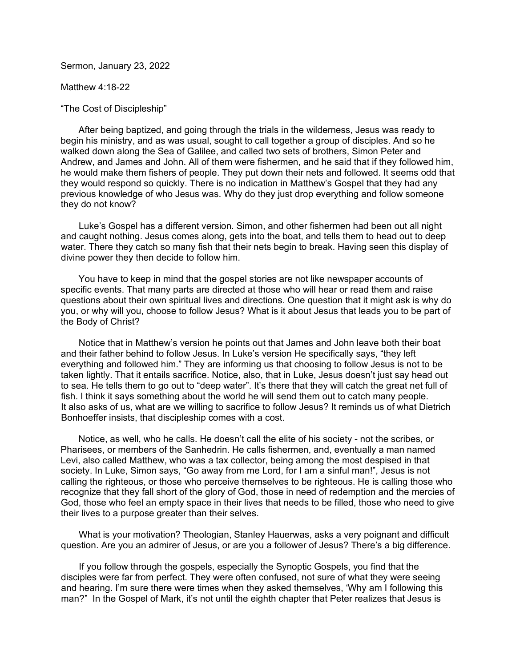Sermon, January 23, 2022

Matthew 4:18-22

"The Cost of Discipleship"

 After being baptized, and going through the trials in the wilderness, Jesus was ready to begin his ministry, and as was usual, sought to call together a group of disciples. And so he walked down along the Sea of Galilee, and called two sets of brothers, Simon Peter and Andrew, and James and John. All of them were fishermen, and he said that if they followed him, he would make them fishers of people. They put down their nets and followed. It seems odd that they would respond so quickly. There is no indication in Matthew's Gospel that they had any previous knowledge of who Jesus was. Why do they just drop everything and follow someone they do not know?

 Luke's Gospel has a different version. Simon, and other fishermen had been out all night and caught nothing. Jesus comes along, gets into the boat, and tells them to head out to deep water. There they catch so many fish that their nets begin to break. Having seen this display of divine power they then decide to follow him.

 You have to keep in mind that the gospel stories are not like newspaper accounts of specific events. That many parts are directed at those who will hear or read them and raise questions about their own spiritual lives and directions. One question that it might ask is why do you, or why will you, choose to follow Jesus? What is it about Jesus that leads you to be part of the Body of Christ?

 Notice that in Matthew's version he points out that James and John leave both their boat and their father behind to follow Jesus. In Luke's version He specifically says, "they left everything and followed him." They are informing us that choosing to follow Jesus is not to be taken lightly. That it entails sacrifice. Notice, also, that in Luke, Jesus doesn't just say head out to sea. He tells them to go out to "deep water". It's there that they will catch the great net full of fish. I think it says something about the world he will send them out to catch many people. It also asks of us, what are we willing to sacrifice to follow Jesus? It reminds us of what Dietrich Bonhoeffer insists, that discipleship comes with a cost.

 Notice, as well, who he calls. He doesn't call the elite of his society - not the scribes, or Pharisees, or members of the Sanhedrin. He calls fishermen, and, eventually a man named Levi, also called Matthew, who was a tax collector, being among the most despised in that society. In Luke, Simon says, "Go away from me Lord, for I am a sinful man!", Jesus is not calling the righteous, or those who perceive themselves to be righteous. He is calling those who recognize that they fall short of the glory of God, those in need of redemption and the mercies of God, those who feel an empty space in their lives that needs to be filled, those who need to give their lives to a purpose greater than their selves.

 What is your motivation? Theologian, Stanley Hauerwas, asks a very poignant and difficult question. Are you an admirer of Jesus, or are you a follower of Jesus? There's a big difference.

 If you follow through the gospels, especially the Synoptic Gospels, you find that the disciples were far from perfect. They were often confused, not sure of what they were seeing and hearing. I'm sure there were times when they asked themselves, 'Why am I following this man?" In the Gospel of Mark, it's not until the eighth chapter that Peter realizes that Jesus is